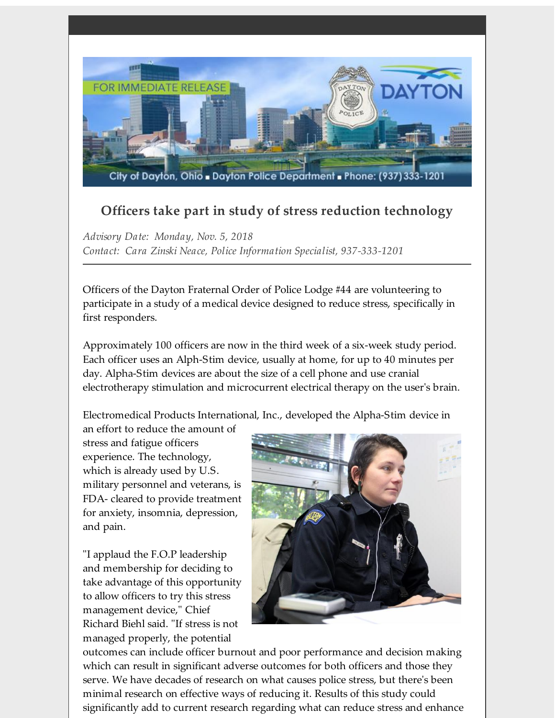

## **Officers take part in study of stress reduction technology**

*Advisory Date: Monday, Nov. 5, 2018 Contact: Cara Zinski Neace, Police Information Specialist, 937-333-1201*

Officers of the Dayton Fraternal Order of Police Lodge #44 are volunteering to participate in a study of a medical device designed to reduce stress, specifically in first responders.

Approximately 100 officers are now in the third week of a six-week study period. Each officer uses an Alph-Stim device, usually at home, for up to 40 minutes per day. Alpha-Stim devices are about the size of a cell phone and use cranial electrotherapy stimulation and microcurrent electrical therapy on the user's brain.

Electromedical Products International, Inc., developed the Alpha-Stim device in

an effort to reduce the amount of stress and fatigue officers experience. The technology, which is already used by U.S. military personnel and veterans, is FDA- cleared to provide treatment for anxiety, insomnia, depression, and pain.

"I applaud the F.O.P leadership and membership for deciding to take advantage of this opportunity to allow officers to try this stress management device," Chief Richard Biehl said. "If stress is not managed properly, the potential



outcomes can include officer burnout and poor performance and decision making which can result in significant adverse outcomes for both officers and those they serve. We have decades of research on what causes police stress, but there's been minimal research on effective ways of reducing it. Results of this study could significantly add to current research regarding what can reduce stress and enhance